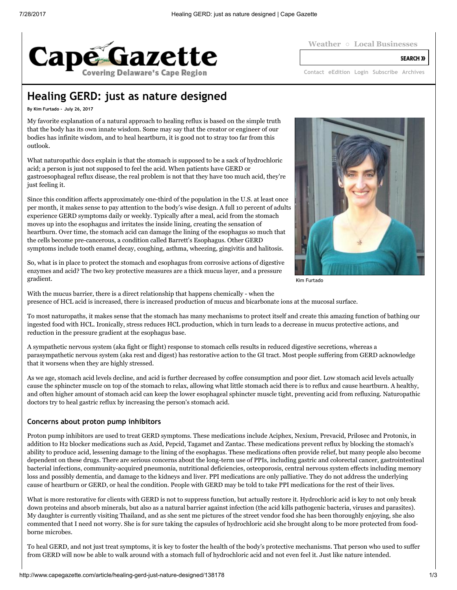

**SEARCH >>** 

[Contact](http://www.capegazette.com/contact) [eEdition](http://capegazette.de.newsmemory.com/) [Login](http://www.capegazette.com/user/login) [Subscribe](http://www.capegazette.com/subscriptions) [Archives](http://cpg.stparchive.com/)

# Healing GERD: just as nature designed

By Kim Furtado - July 26, 2017

My favorite explanation of a natural approach to healing reflux is based on the simple truth that the body has its own innate wisdom. Some may say that the creator or engineer of our bodies has infinite wisdom, and to heal heartburn, it is good not to stray too far from this outlook.

What naturopathic docs explain is that the stomach is supposed to be a sack of hydrochloric acid; a person is just not supposed to feel the acid. When patients have GERD or gastroesophageal reflux disease, the real problem is not that they have too much acid, they're just feeling it.

Since this condition affects approximately one-third of the population in the U.S. at least once per month, it makes sense to pay attention to the body's wise design. A full 10 percent of adults experience GERD symptoms daily or weekly. Typically after a meal, acid from the stomach moves up into the esophagus and irritates the inside lining, creating the sensation of heartburn. Over time, the stomach acid can damage the lining of the esophagus so much that the cells become pre-cancerous, a condition called Barrett's Esophagus. Other GERD symptoms include tooth enamel decay, coughing, asthma, wheezing, gingivitis and halitosis.



Kim Furtado

So, what is in place to protect the stomach and esophagus from corrosive actions of digestive enzymes and acid? The two key protective measures are a thick mucus layer, and a pressure gradient.

With the mucus barrier, there is a direct relationship that happens chemically - when the presence of HCL acid is increased, there is increased production of mucus and bicarbonate ions at the mucosal surface.

To most naturopaths, it makes sense that the stomach has many mechanisms to protect itself and create this amazing function of bathing our ingested food with HCL. Ironically, stress reduces HCL production, which in turn leads to a decrease in mucus protective actions, and reduction in the pressure gradient at the esophagus base.

A sympathetic nervous system (aka fight or flight) response to stomach cells results in reduced digestive secretions, whereas a parasympathetic nervous system (aka rest and digest) has restorative action to the GI tract. Most people suffering from GERD acknowledge that it worsens when they are highly stressed.

As we age, stomach acid levels decline, and acid is further decreased by coffee consumption and poor diet. Low stomach acid levels actually cause the sphincter muscle on top of the stomach to relax, allowing what little stomach acid there is to reflux and cause heartburn. A healthy, and often higher amount of stomach acid can keep the lower esophageal sphincter muscle tight, preventing acid from refluxing. Naturopathic doctors try to heal gastric reflux by increasing the person's stomach acid.

### Concerns about proton pump inhibitors

Proton pump inhibitors are used to treat GERD symptoms. These medications include Aciphex, Nexium, Prevacid, Prilosec and Protonix, in addition to H2 blocker medications such as Axid, Pepcid, Tagamet and Zantac. These medications prevent reflux by blocking the stomach's ability to produce acid, lessening damage to the lining of the esophagus. These medications often provide relief, but many people also become dependent on these drugs. There are serious concerns about the long-term use of PPIs, including gastric and colorectal cancer, gastrointestinal bacterial infections, community-acquired pneumonia, nutritional deficiencies, osteoporosis, central nervous system effects including memory loss and possibly dementia, and damage to the kidneys and liver. PPI medications are only palliative. They do not address the underlying cause of heartburn or GERD, or heal the condition. People with GERD may be told to take PPI medications for the rest of their lives.

What is more restorative for clients with GERD is not to suppress function, but actually restore it. Hydrochloric acid is key to not only break down proteins and absorb minerals, but also as a natural barrier against infection (the acid kills pathogenic bacteria, viruses and parasites). My daughter is currently visiting Thailand, and as she sent me pictures of the street vendor food she has been thoroughly enjoying, she also commented that I need not worry. She is for sure taking the capsules of hydrochloric acid she brought along to be more protected from foodborne microbes.

To heal GERD, and not just treat symptoms, it is key to foster the health of the body's protective mechanisms. That person who used to suffer from GERD will now be able to walk around with a stomach full of hydrochloric acid and not even feel it. Just like nature intended.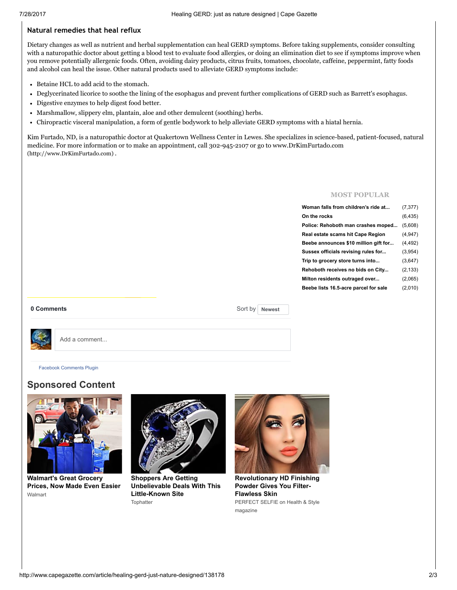### Natural remedies that heal reflux

Dietary changes as well as nutrient and herbal supplementation can heal GERD symptoms. Before taking supplements, consider consulting with a naturopathic doctor about getting a blood test to evaluate food allergies, or doing an elimination diet to see if symptoms improve when you remove potentially allergenic foods. Often, avoiding dairy products, citrus fruits, tomatoes, chocolate, caffeine, peppermint, fatty foods and alcohol can heal the issue. Other natural products used to alleviate GERD symptoms include:

- Betaine HCL to add acid to the stomach.
- Deglycerinated licorice to soothe the lining of the esophagus and prevent further complications of GERD such as Barrett's esophagus.
- Digestive enzymes to help digest food better.
- Marshmallow, slippery elm, plantain, aloe and other demulcent (soothing) herbs.
- Chiropractic visceral manipulation, a form of gentle bodywork to help alleviate GERD symptoms with a hiatal hernia.

Kim Furtado, ND, is a naturopathic doctor at Quakertown Wellness Center in Lewes. She specializes in science-based, patient-focused, natural medicine. For more information or to make an appointment, call 302-945-2107 or go to www.DrKimFurtado.com [\(http://www.DrKimFurtado.com\)](http://www.drkimfurtado.com/) .

#### MOST POPULAR

| Woman falls from children's ride at   | (7, 377) |
|---------------------------------------|----------|
| On the rocks                          | (6, 435) |
| Police: Rehoboth man crashes moped    | (5,608)  |
| Real estate scams hit Cape Region     | (4,947)  |
| Beebe announces \$10 million gift for | (4, 492) |
| Sussex officials revising rules for   | (3,954)  |
| Trip to grocery store turns into      | (3,647)  |
| Rehoboth receives no bids on City     | (2, 133) |
| Milton residents outraged over        | (2,065)  |
| Beebe lists 16.5-acre parcel for sale | (2,010)  |
|                                       |          |

0 Comments

Sort by Newest



Add a comment...

Facebook [Comments](https://developers.facebook.com/docs/plugins/comments/?utm_campaign=social_plugins&utm_medium=offsite_pages&utm_source=comments_plugin) Plugin

## Sponsored Content



[Walmart's](http://grocery.walmart.com/usd-estore/m/home/anonymouslanding.jsp?adid=1500000000000039644270&veh=dsp&utm_content=00c628245987fc9079ee135ced192ad025&wmlspartner=outbrain) Great Grocery Prices, Now Made Even Easier Walmart



Shoppers Are Getting [Unbelievable](https://tophatter.com/?source=affiliate&campaign=outbrain&ad_group=outbraindesktop_shoppers) Deals With This Little-Known Site **Tophatter** 



[Revolutionary](http://healthandstylemag.com/how-to-make-your-skin-become-poreless-and-pixel-perfect-otb/) HD Finishing Powder Gives You Filter-Flawless Skin PERFECT SELFIE on Health & Style magazine